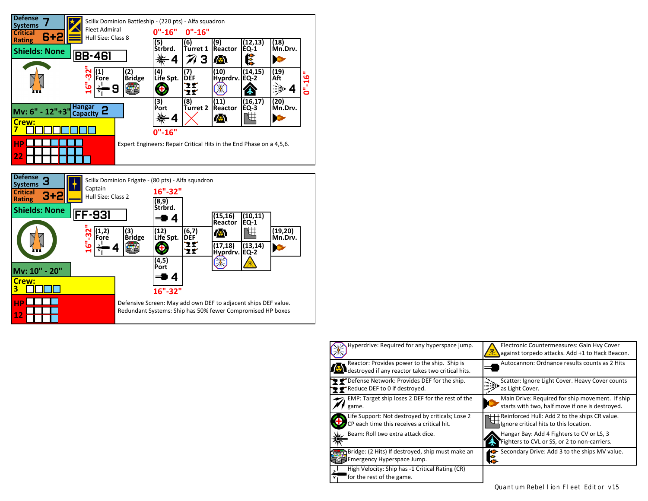



| Hyperdrive: Required for any hyperspace jump.                                                     | Electronic Countermeasures: Gain Hvy Cover<br>against torpedo attacks. Add +1 to Hack Beacon.      |
|---------------------------------------------------------------------------------------------------|----------------------------------------------------------------------------------------------------|
| Reactor: Provides power to the ship. Ship is<br>destroyed if any reactor takes two critical hits. | Autocannon: Ordnance results counts as 2 Hits                                                      |
| P Defense Network: Provides DEF for the ship.<br><b>P</b> Reduce DEF to 0 if destroyed.           | Scatter: Ignore Light Cover. Heavy Cover counts<br>as Light Cover.                                 |
| EMP: Target ship loses 2 DEF for the rest of the<br>game.                                         | Main Drive: Required for ship movement. If ship<br>starts with two, half move if one is destroyed. |
| Life Support: Not destroyed by criticals; Lose 2<br>CP each time this receives a critical hit.    | Reinforced Hull: Add 2 to the ships CR value.<br>Ignore critical hits to this location.            |
| Beam: Roll two extra attack dice.                                                                 | Hangar Bay: Add 4 Fighters to CV or LS, 3<br>Fighters to CVL or SS, or 2 to non-carriers.          |
| Bridge: (2 Hits) If destroyed, ship must make an<br>Emergency Hyperspace Jump.                    | Secondary Drive: Add 3 to the ships MV value.                                                      |
| High Velocity: Ship has -1 Critical Rating (CR)<br>for the rest of the game.<br>7ī                |                                                                                                    |

Quantum Rebel I ion FI eet Editor v1.5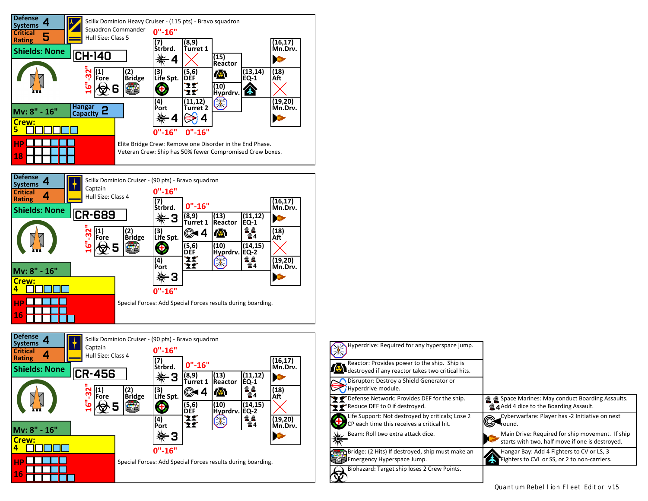



| Hyperdrive: Required for any hyperspace jump.                                                     |                                                                                                         |
|---------------------------------------------------------------------------------------------------|---------------------------------------------------------------------------------------------------------|
| Reactor: Provides power to the ship. Ship is<br>destroyed if any reactor takes two critical hits. |                                                                                                         |
| Disruptor: Destroy a Shield Generator or<br>Hyperdrive module.                                    |                                                                                                         |
| P Defense Network: Provides DEF for the ship.<br>Reduce DEF to 0 if destroyed.                    | <b>A</b> Space Marines: May conduct Boarding Assaults.<br><b>14 Add 4 dice to the Boarding Assault.</b> |
| Life Support: Not destroyed by criticals; Lose 2<br>CP each time this receives a critical hit.    | Cyberwarfare: Player has -2 Initiative on next<br>round.                                                |
| Beam: Roll two extra attack dice.                                                                 | Main Drive: Required for ship movement. If ship<br>starts with two, half move if one is destroyed.      |
| Bridge: (2 Hits) If destroyed, ship must make an<br>Emergency Hyperspace Jump.                    | Hangar Bay: Add 4 Fighters to CV or LS, 3<br>Fighters to CVL or SS, or 2 to non-carriers.               |
| Biohazard: Target ship loses 2 Crew Points.                                                       |                                                                                                         |